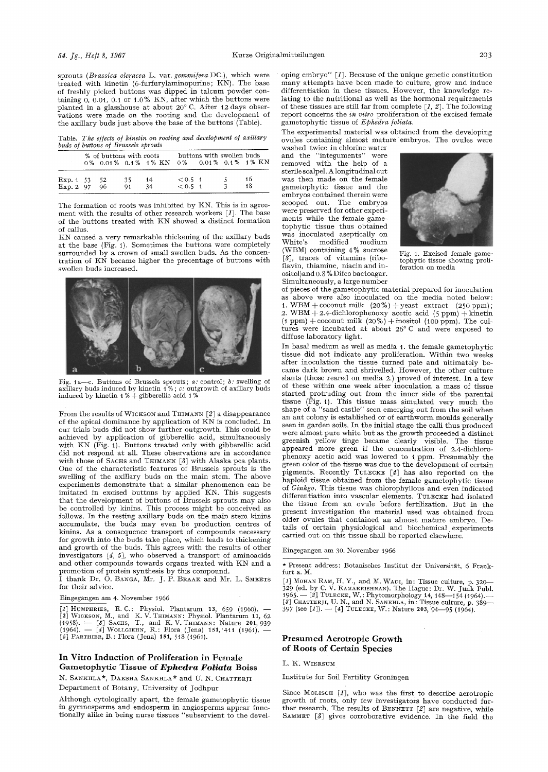sprouts (Brassica oleracea L. var. gemmifera DC.), which were treated with kinetin (6-furinrylaminopurine; KN). The base of freshly picked buttons was dipped in talcum powder containing  $0, 0.01, 0.1$  or  $1.0\%$  KN, after which the buttons were planted in a glasshouse at about 20°C. After 12 days observations were made on the rooting and the development of the axilIary buds just above the base of the buttons (Table).

Table. *The effects of kinetin on rooting and development of axillary buds of buttons of Brussels sprouts* 

|                           | % of buttons with roots |                      | 0% 0.01% 0.1% 1% KN |                              | buttons with swollen buds | 0% 0.01% 0.1% 1% KN |
|---------------------------|-------------------------|----------------------|---------------------|------------------------------|---------------------------|---------------------|
| Exp. 1 53 52<br>Exp. 2 97 | 96                      | 35<br>Q <sub>1</sub> | 14<br>34            | $< 0.5 \; 1$<br>$< 0.5 \; 1$ | $-5$                      | 16<br>18            |

The formation of roots was inhibited by KN. This is in agreement with the results of other research workers  $[1]$ . The base of the buttons treated with KN showed a distinct formation of callus.

KN caused a very remarkable thickening of the axillary buds at the base (Fig. I). Sometimes the buttons were completely surrounded by a crown of small swollen buds. As the concentration of  $KN$  became higher the precentage of buttons with swollen buds increased.



Fig. I a--c. Buttons of Brussels sprouts; *a:* control; *b:* swelling of axillary buds induced by kinetin 1% ; *e:* outgrowth of axillary buds induced by kinetin 1% + gibberellic acid 1%

From the results of WICKSON and THIMANN [2] a disappearance of the apical dominance by application of KN is concluded. In our trials buds did not show further outgrowth. This could be achieved by application of gibberellic acid, simultaneously with KN (Fig. 1). Buttons treated only with gibberellic acid did not respond at all. These observations are in accordance with those of SACHS and THIMANN [3] with Alaska pea plants. One of the characteristic features of Brussels sprouts is the swelling of the axillary buds on the main stem. The above experiments demonstrate that a similar phenomenon can be imitated in excised buttons by applied KN. This suggests that the development of buttons of Brussels sprouts may also be controlled by kinins. This process might be conceived as follows. In the resting axillary buds on the main stem kinins accumulate, the buds may even be production centres of kinins. As a consequence transport of compounds necessary for growth into the buds take place, which leads to thickening and growth of the buds. This agrees with the results of other investigators [4, 5], who observed a transport of aminoacids and other compounds towards organs treated with KN and a promotion of protein synthesis by this compound.

I thank Dr. O. BANGA, Mr. J. P. BRAAK and Mr. L. SMEET for their advice.

Eingegangen am 4. November 1966

[1] HUMPHRIES, E. C.: Physiol. Plantarum 13, 659 (1960). —<br>[2] WICKSON, M., and K. V. THIMANN: Physiol. Plantarum 11, 62<br>(1958). — [3] SACHS, T., and K. V. THIMANN: Nature 201, 939<br>(1964). — [4] WOLLGIEHN, R.: Flora (Jena

### In **Vitro Induction of Proliferation in** Female **Gametophytic Tissue** of *Ephedra Foliata* **Boiss**

N. SANKHLA\*, DAKSHA SANKHLA\* and U. N. CHATTERJI DePartment of Botany, University of Jodhpur

Although cytologically apart, the female gametophytic tissue in gymnosperms and endosperm in angiosperms appear functionally alike in being nurse tissues "subservient to the developing embryo"  $\lceil 1 \rceil$ . Because of the unique genetic constitution many attempts have been made to culture, grow and induce differentiation in these tissues. However, the knowledge relating to the nutritional as well as the hormonal requirements of these tissues are still far from complete  $[1, 2]$ . The following report concerns the *in vitro* proliferation of the excised female gametophytic tissue of *Ephedra foliata*.

The experimental material was obtained from the developing ovules containing almost mature embryos. The ovules were

washed twice in chlorine water and the "integuments" were removed with the help of a sterile scalpel. A longitudinal cut was then made on the female gametophytic tissue and the embryos contained therein were scooped out. The embryos were preserved for other experiments while the female gametophytic tissue thus obtained was inoculated aseptically on<br>White's modified medium white's modified medium<br>(WBM) containing 4% sucrose (WBM) containing 4% sucrose Fig. 1. Excised female game-<br>[3], traces of vitamins (ribo-<br>fiavin, thiamine, niacin and in-<br>feration on media ositol)and 0.8 % Difco bactoagar. Simultaneously, a large number



of pieces of the gametophytic material prepared for inoculation as above were also inoculated on the media noted below: 1. WBM + coconut milk  $(20\%)$  + yeast extract  $(250\text{ ppm})$ ; 2. WBM  $+$  2.4-dichlorophenoxy acetic acid (5 ppm)  $+$  kinetin  $(1 ppm) +$ coconut milk  $(20\%) +$ inositol  $(100 ppm)$ . The cultures were incubated at about 26°C and were exposed to diffuse laboratory light.

In basal medium as well as media 1. the female gametophytic tissue did not indicate any proliferation. Within two weeks after inoculation the tissue turned pale and ultimately became dark brown and shrivelled. However, the other culture slants (those reared on media 2.) proved of interest. In a few of these within one week after inoculation a mass of tissue started protruding out from the inner side of the parental tissue (Fig. t). This tissue mass simulated very much the shape of a "sand castle" seen emerging out from the soil when an ant colony is established or of earthworm moulds generally seen in garden soils. In the initial stage the caili thus produced were almost pure white but as the growth proceeded a distinct greenish yellow tinge became clearly visible. The tissue appeared more green if the concentration of 2.4-dichlorophenoxy acetic acid was lowered to t ppm. Presumably the green color of the tissue was due to the development of certain pigments. Recently TULECKE [41 has also reported on the haploid tissue obtained from the female gametophytic tissue of *Ginkgo.* This tissue was chlorophyllous and even indicated differentiation into vascular elements. TULECKE had isolated the tissue from an ovule before fertilization. But in the present investigation the material used was obtained from older ovules that contained an almost mature embryo. Details of certain physiological and biochemical experiments carried out on this tissue shall be reported elsewhere.

Eingegangen am 30. November 1966

\* Present address: Botanisches Institut der Universität, 6 Frankfurt a. M.

[*I*] Монду RAM, H. Y., and M. WADI, in: Tissue culture, p. 320—<br>329 (ed. by C. V. RAMAKRISHNAN). The Hague: Dr. W. Junk Publ.<br>1965. — [2] TULECKE, W.: Phytomorphology 14, 148—154 (1964). —<br>[3] CHATTERJI, U. N., and N. SA

# **Presumed Aerotropic Growth of Roots of Certain Species**

#### L. K. WIERSUM

Institute for Soil Fertility Groningen

Since MoLISCH  $[I]$ , who was the first to describe aerotropic growth of roots, only few investigators have conducted further research. The results of BENNETT  $[2]$  are negative, while SAMMET [3] gives corroborative evidence. In the field the